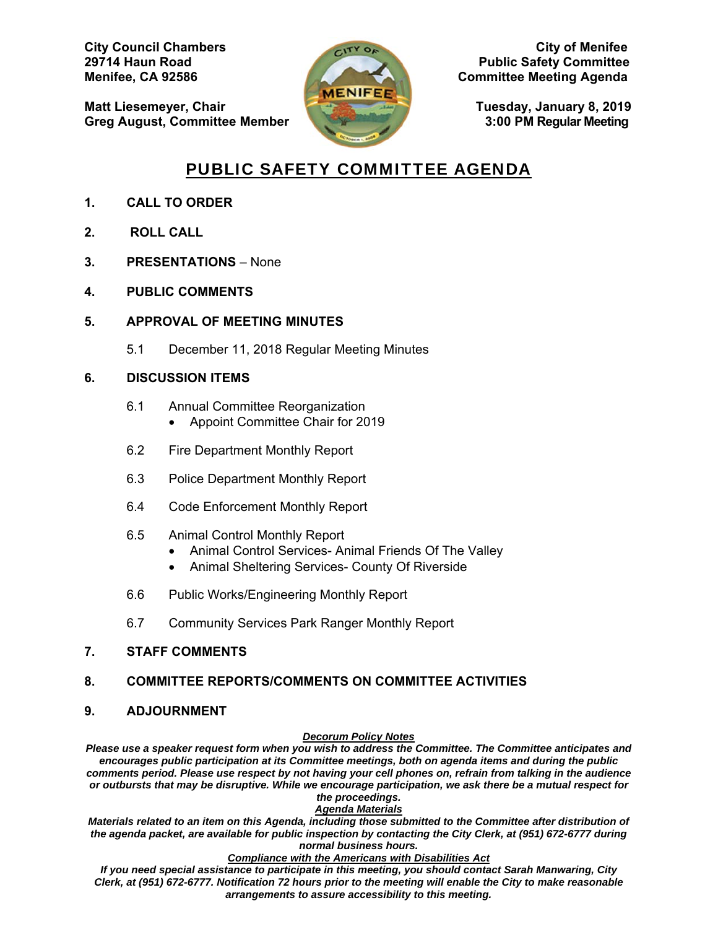**Matt Liesemeyer, Chair Tuesday, January 8, 2019 Greg August, Committee Member 3:00 PM Regular Meeting** 



**City Council Chambers City of Menifee 29714 Haun Road Public Safety Committee Menifee, CA 92586 Committee Meeting Agenda** 

## PUBLIC SAFETY COMMITTEE AGENDA

- **1. CALL TO ORDER**
- **2. ROLL CALL**
- **3. PRESENTATIONS**  None
- **4. PUBLIC COMMENTS**
- **5. APPROVAL OF MEETING MINUTES** 
	- 5.1 December 11, 2018 Regular Meeting Minutes

#### **6. DISCUSSION ITEMS**

- 6.1 Annual Committee Reorganization
	- Appoint Committee Chair for 2019
- 6.2 Fire Department Monthly Report
- 6.3 Police Department Monthly Report
- 6.4 Code Enforcement Monthly Report
- 6.5 Animal Control Monthly Report
	- Animal Control Services- Animal Friends Of The Valley
	- Animal Sheltering Services- County Of Riverside
- 6.6 Public Works/Engineering Monthly Report
- 6.7 Community Services Park Ranger Monthly Report

#### **7. STAFF COMMENTS**

#### **8. COMMITTEE REPORTS/COMMENTS ON COMMITTEE ACTIVITIES**

#### **9. ADJOURNMENT**

#### *Decorum Policy Notes*

*Please use a speaker request form when you wish to address the Committee. The Committee anticipates and encourages public participation at its Committee meetings, both on agenda items and during the public comments period. Please use respect by not having your cell phones on, refrain from talking in the audience or outbursts that may be disruptive. While we encourage participation, we ask there be a mutual respect for the proceedings.* 

#### *Agenda Materials*

*Materials related to an item on this Agenda, including those submitted to the Committee after distribution of the agenda packet, are available for public inspection by contacting the City Clerk, at (951) 672-6777 during normal business hours.* 

#### *Compliance with the Americans with Disabilities Act*

*If you need special assistance to participate in this meeting, you should contact Sarah Manwaring, City Clerk, at (951) 672-6777. Notification 72 hours prior to the meeting will enable the City to make reasonable arrangements to assure accessibility to this meeting.*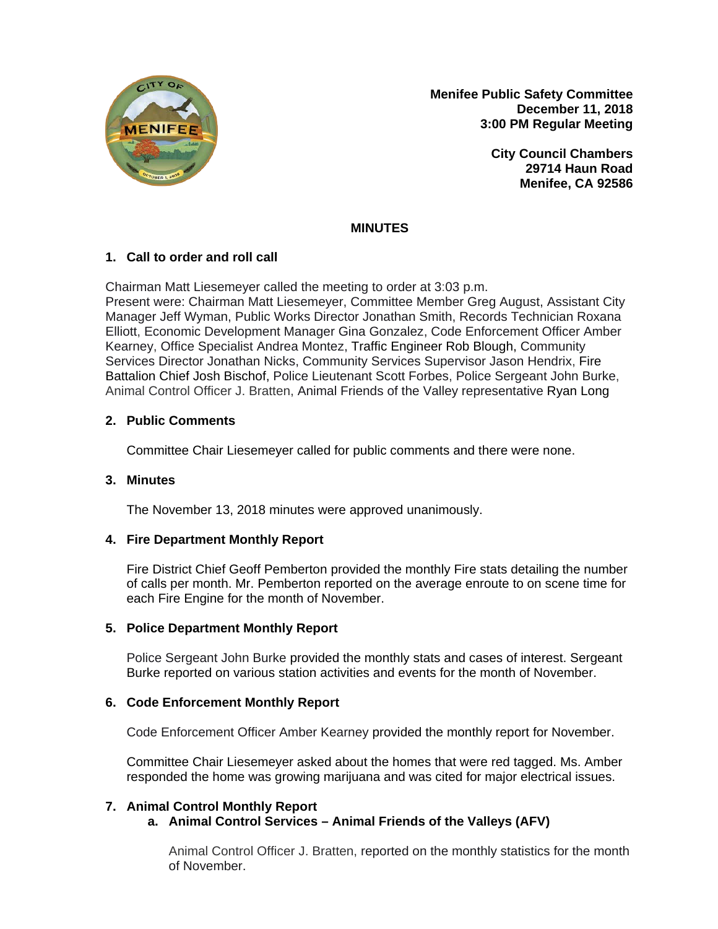

**Menifee Public Safety Committee December 11, 2018 3:00 PM Regular Meeting**

> **City Council Chambers 29714 Haun Road Menifee, CA 92586**

## **MINUTES**

#### **1. Call to order and roll call**

Chairman Matt Liesemeyer called the meeting to order at 3:03 p.m. Present were: Chairman Matt Liesemeyer, Committee Member Greg August, Assistant City Manager Jeff Wyman, Public Works Director Jonathan Smith, Records Technician Roxana Elliott, Economic Development Manager Gina Gonzalez, Code Enforcement Officer Amber Kearney, Office Specialist Andrea Montez, Traffic Engineer Rob Blough, Community Services Director Jonathan Nicks, Community Services Supervisor Jason Hendrix, Fire Battalion Chief Josh Bischof, Police Lieutenant Scott Forbes, Police Sergeant John Burke, Animal Control Officer J. Bratten, Animal Friends of the Valley representative Ryan Long

## **2. Public Comments**

Committee Chair Liesemeyer called for public comments and there were none.

#### **3. Minutes**

The November 13, 2018 minutes were approved unanimously.

#### **4. Fire Department Monthly Report**

Fire District Chief Geoff Pemberton provided the monthly Fire stats detailing the number of calls per month. Mr. Pemberton reported on the average enroute to on scene time for each Fire Engine for the month of November.

#### **5. Police Department Monthly Report**

Police Sergeant John Burke provided the monthly stats and cases of interest. Sergeant Burke reported on various station activities and events for the month of November.

#### **6. Code Enforcement Monthly Report**

Code Enforcement Officer Amber Kearney provided the monthly report for November.

Committee Chair Liesemeyer asked about the homes that were red tagged. Ms. Amber responded the home was growing marijuana and was cited for major electrical issues.

#### **7. Animal Control Monthly Report**

#### **a. Animal Control Services – Animal Friends of the Valleys (AFV)**

Animal Control Officer J. Bratten, reported on the monthly statistics for the month of November.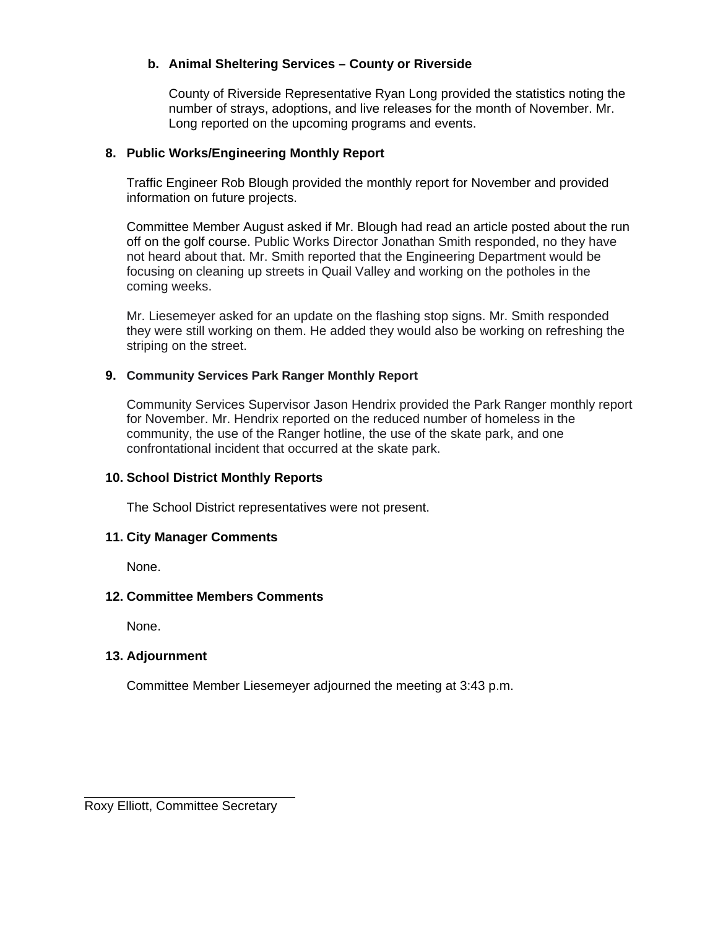## **b. Animal Sheltering Services – County or Riverside**

County of Riverside Representative Ryan Long provided the statistics noting the number of strays, adoptions, and live releases for the month of November. Mr. Long reported on the upcoming programs and events.

#### **8. Public Works/Engineering Monthly Report**

Traffic Engineer Rob Blough provided the monthly report for November and provided information on future projects.

Committee Member August asked if Mr. Blough had read an article posted about the run off on the golf course. Public Works Director Jonathan Smith responded, no they have not heard about that. Mr. Smith reported that the Engineering Department would be focusing on cleaning up streets in Quail Valley and working on the potholes in the coming weeks.

Mr. Liesemeyer asked for an update on the flashing stop signs. Mr. Smith responded they were still working on them. He added they would also be working on refreshing the striping on the street.

#### **9. Community Services Park Ranger Monthly Report**

Community Services Supervisor Jason Hendrix provided the Park Ranger monthly report for November. Mr. Hendrix reported on the reduced number of homeless in the community, the use of the Ranger hotline, the use of the skate park, and one confrontational incident that occurred at the skate park.

#### **10. School District Monthly Reports**

The School District representatives were not present.

#### **11. City Manager Comments**

None.

#### **12. Committee Members Comments**

None.

#### **13. Adjournment**

Committee Member Liesemeyer adjourned the meeting at 3:43 p.m.

Roxy Elliott, Committee Secretary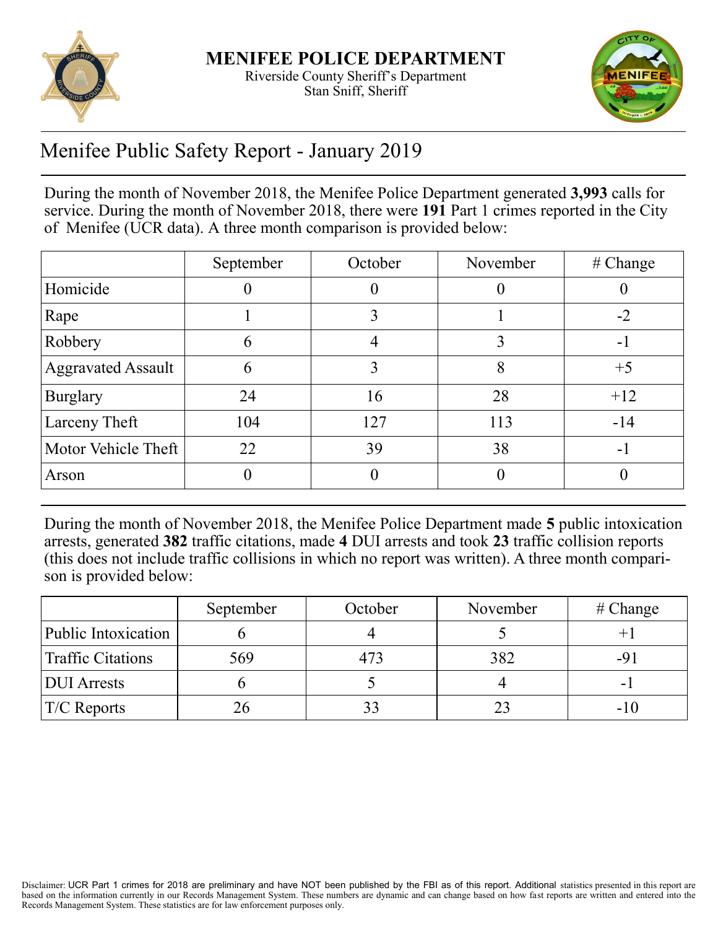



# Menifee Public Safety Report - January 2019

During the month of November 2018, the Menifee Police Department generated **3,993** calls for service. During the month of November 2018, there were **191** Part 1 crimes reported in the City of Menifee (UCR data). A three month comparison is provided below:

|                           | September | October | November | # Change |
|---------------------------|-----------|---------|----------|----------|
| Homicide                  |           |         |          |          |
| Rape                      |           | 3       |          | $-2$     |
| Robbery                   | h         |         |          | $-1$     |
| <b>Aggravated Assault</b> | O         | 3       | 8        | $+5$     |
| <b>Burglary</b>           | 24        | 16      | 28       | $+12$    |
| Larceny Theft             | 104       | 127     | 113      | $-14$    |
| Motor Vehicle Theft       | 22        | 39      | 38       | - 1      |
| Arson                     |           |         |          |          |

During the month of November 2018, the Menifee Police Department made **5** public intoxication arrests, generated **382** traffic citations, made **4** DUI arrests and took **23** traffic collision reports (this does not include traffic collisions in which no report was written). A three month comparison is provided below:

|                          | September | October | November | # Change |
|--------------------------|-----------|---------|----------|----------|
| Public Intoxication      |           |         |          |          |
| <b>Traffic Citations</b> | 569       | 473     | 382      | -9       |
| <b>DUI</b> Arrests       |           |         |          |          |
| $TC$ Reports             |           |         |          | -10      |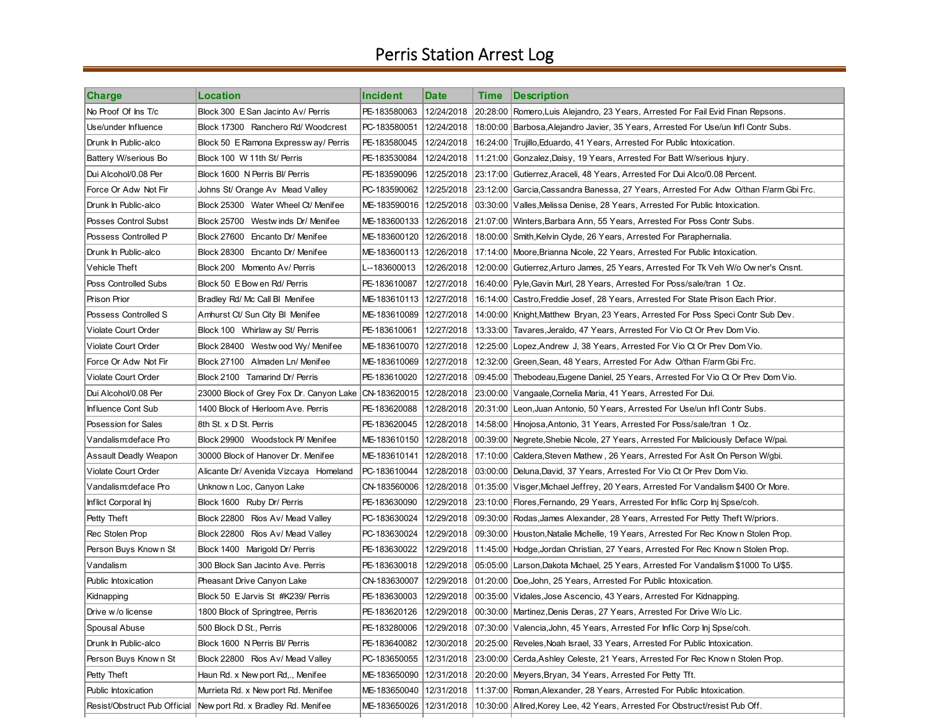# Perris Station Arrest Log

| <b>Charge</b>                | Location                                               | <b>Incident</b>           | <b>Date</b> | Time | <b>Description</b>                                                                     |
|------------------------------|--------------------------------------------------------|---------------------------|-------------|------|----------------------------------------------------------------------------------------|
| No Proof Of Ins T/c          | Block 300 E San Jacinto Av/ Perris                     | PE-183580063              | 12/24/2018  |      | 20:28:00 Romero, Luis Alejandro, 23 Years, Arrested For Fail Evid Finan Repsons.       |
| Use/under Influence          | Block 17300 Ranchero Rd/ Woodcrest                     | PC-183580051              | 12/24/2018  |      | 18:00:00   Barbosa, Alejandro Javier, 35 Years, Arrested For Use/un Infl Contr Subs.   |
| Drunk In Public-alco         | Block 50 E Ramona Expressw ay/ Perris                  | PE-183580045              | 12/24/2018  |      | 16:24:00 Trujillo, Eduardo, 41 Years, Arrested For Public Intoxication.                |
| Battery W/serious Bo         | Block 100 W 11th St/ Perris                            | PE-183530084              | 12/24/2018  |      | 11:21:00 Gonzalez, Daisy, 19 Years, Arrested For Batt W/serious Injury.                |
| Dui Alcohol/0.08 Per         | Block 1600 N Perris Bl/ Perris                         | PE-183590096              | 12/25/2018  |      | 23:17:00 Gutierrez, Araceli, 48 Years, Arrested For Dui Alco/0.08 Percent.             |
| Force Or Adw Not Fir         | Johns St/ Orange Av  Mead Valley                       | PC-183590062              | 12/25/2018  |      | [23:12:00] Garcia, Cassandra Banessa, 27 Years, Arrested For Adw O/than F/arm Gbi Frc. |
| Drunk In Public-alco         | Block 25300 Water Wheel Ct/ Menifee                    | ME-183590016              | 12/25/2018  |      | 03:30:00   Valles, Melissa Denise, 28 Years, Arrested For Public Intoxication.         |
| Posses Control Subst         | Block 25700 Westwinds Dr/ Menifee                      | ME-183600133              | 12/26/2018  |      | 21:07:00 Winters, Barbara Ann, 55 Years, Arrested For Poss Contr Subs.                 |
| Possess Controlled P         | Block 27600 Encanto Dr/ Menifee                        | ME-183600120              | 12/26/2018  |      | 18:00:00 Smith, Kelvin Clyde, 26 Years, Arrested For Paraphernalia.                    |
| Drunk In Public-alco         | Block 28300 Encanto Dr/ Menifee                        | ME-183600113   12/26/2018 |             |      | ∣17:14:00 ∣Moore,Brianna Nicole, 22 Years, Arrested For Public Intoxication.           |
| Vehicle Theft                | Block 200 Momento Av/ Perris                           | L--183600013              | 12/26/2018  |      | 12:00:00 Gutierrez, Arturo James, 25 Years, Arrested For Tk Veh W/o Owner's Cnsnt.     |
| Poss Controlled Subs         | Block 50 E Bow en Rd/ Perris                           | PE-183610087              | 12/27/2018  |      | 16:40:00   Pyle, Gavin Murl, 28 Years, Arrested For Poss/sale/tran 1 Oz.               |
| <b>Prison Prior</b>          | Bradley Rd/ Mc Call BI Menifee                         | ME-183610113              | 12/27/2018  |      | 16:14:00 Castro, Freddie Josef, 28 Years, Arrested For State Prison Each Prior.        |
| Possess Controlled S         | Amhurst Ct/ Sun City BI Menifee                        | ME-183610089   12/27/2018 |             |      | 14:00:00   Knight, Matthew Bryan, 23 Years, Arrested For Poss Speci Contr Sub Dev.     |
| Violate Court Order          | Block 100 Whirlaw ay St/ Perris                        | PE-183610061              | 12/27/2018  |      | 13:33:00 Tavares, Jeraldo, 47 Years, Arrested For Vio Ct Or Prev Dom Vio.              |
| <b>Violate Court Order</b>   | Block 28400 Westwood Wy/Menifee                        | ME-183610070              | 12/27/2018  |      | 12:25:00 Lopez, Andrew J, 38 Years, Arrested For Vio Ct Or Prev Dom Vio.               |
| Force Or Adw Not Fir         | Block 27100 Almaden Ln/ Menifee                        | ME-183610069              | 12/27/2018  |      | 12:32:00 Green, Sean, 48 Years, Arrested For Adw O/than F/arm Gbi Frc.                 |
| Violate Court Order          | Block 2100 Tamarind Dr/ Perris                         | PE-183610020              | 12/27/2018  |      | 09:45:00 Thebodeau, Eugene Daniel, 25 Years, Arrested For Vio Ct Or Prev Dom Vio.      |
| Dui Alcohol/0.08 Per         | 23000 Block of Grey Fox Dr. Canyon Lake   CN-183620015 |                           | 12/28/2018  |      | 23:00:00   Vangaale, Cornelia Maria, 41 Years, Arrested For Dui.                       |
| Influence Cont Sub           | 1400 Block of Hierloom Ave. Perris                     | PE-183620088              | 12/28/2018  |      | .20:31:00  Leon,Juan Antonio, 50 Years, Arrested For Use/un Infl Contr Subs            |
| Posession for Sales          | 8th St. x D St. Perris                                 | PE-183620045              | 12/28/2018  |      | 14:58:00   Hinojosa, Antonio, 31 Years, Arrested For Poss/sale/tran 1 Oz.              |
| Vandalism: deface Pro        | Block 29900 Woodstock Pl/ Menifee                      | ME-183610150              | 12/28/2018  |      | 00:39:00   Negrete, Shebie Nicole, 27 Years, Arrested For Maliciously Deface W/pai.    |
| Assault Deadly Weapon        | 30000 Block of Hanover Dr. Menifee                     | ME-183610141              | 12/28/2018  |      | 17:10:00   Caldera, Steven Mathew, 26 Years, Arrested For Aslt On Person W/gbi.        |
| Violate Court Order          | Alicante Dr/ Avenida Vizcaya Homeland                  | PC-183610044              | 12/28/2018  |      | ∣03:00:00 ∣Deluna,David, 37 Years, Arrested For Vio Ct Or Prev Dom Vio.                |
| Vandalism: deface Pro        | Unknow n Loc, Canyon Lake                              | CN-183560006              | 12/28/2018  |      | ∣01:35:00 ∣Visger,Michael Jeffrey, 20 Years, Arrested For Vandalism \$400 Or More.     |
| Inflict Corporal Inj         | Block 1600 Ruby Dr/ Perris                             | PE-183630090              | 12/29/2018  |      | 23:10:00   Flores, Fernando, 29 Years, Arrested For Inflic Corp Inj Spse/coh.          |
| Petty Theft                  | Block 22800 Rios Av/ Mead Valley                       | PC-183630024              | 12/29/2018  |      | 09:30:00 Rodas, James Alexander, 28 Years, Arrested For Petty Theft W/priors.          |
| Rec Stolen Prop              | Block 22800 Rios Av/ Mead Valley                       | PC-183630024              | 12/29/2018  |      | 09:30:00  Houston,Natalie Michelle, 19 Years, Arrested For Rec Know n Stolen Prop.     |
| Person Buys Known St         | Block 1400 Marigold Dr/ Perris                         | PE-183630022              | 12/29/2018  |      | 11:45:00 Hodge, Jordan Christian, 27 Years, Arrested For Rec Known Stolen Prop.        |
| Vandalism                    | 300 Block San Jacinto Ave. Perris                      | PE-183630018              | 12/29/2018  |      | 05:05:00   Larson, Dakota Michael, 25 Years, Arrested For Vandalism \$1000 To U/\$5.   |
| Public Intoxication          | Pheasant Drive Canyon Lake                             | CN-183630007              | 12/29/2018  |      | 01:20:00 Doe,John, 25 Years, Arrested For Public Intoxication.                         |
| Kidnapping                   | Block 50 E Jarvis St #K239/ Perris                     | PE-183630003              | 12/29/2018  |      | 00:35:00 Vidales, Jose Ascencio, 43 Years, Arrested For Kidnapping.                    |
| Drive w/o license            | 1800 Block of Springtree, Perris                       | PE-183620126              |             |      | 12/29/2018 00:30:00 Martinez, Denis Deras, 27 Years, Arrested For Drive W/o Lic.       |
| Spousal Abuse                | 500 Block D St., Perris                                | PE-183280006              | 12/29/2018  |      | 07:30:00   Valencia, John, 45 Years, Arrested For Inflic Corp Inj Spse/coh.            |
| Drunk In Public-alco         | Block 1600 N Perris BI/ Perris                         | PE-183640082              | 12/30/2018  |      | 20:25:00 Reveles, Noah Israel, 33 Years, Arrested For Public Intoxication.             |
| Person Buys Known St         | Block 22800 Rios Av/ Mead Valley                       | PC-183650055              | 12/31/2018  |      | [23:00:00] Cerda, Ashley Celeste, 21 Years, Arrested For Rec Known Stolen Prop.        |
| Petty Theft                  | Haun Rd. x New port Rd,., Menifee                      | ME-183650090              | 12/31/2018  |      | 20:20:00 Meyers, Bryan, 34 Years, Arrested For Petty Tft.                              |
| Public Intoxication          | Murrieta Rd. x New port Rd. Menifee                    | ME-183650040              | 12/31/2018  |      | 11:37:00   Roman, Alexander, 28 Years, Arrested For Public Intoxication.               |
| Resist/Obstruct Pub Official | New port Rd. x Bradley Rd. Menifee                     | ME-183650026              | 12/31/2018  |      | 10:30:00 Allred, Korey Lee, 42 Years, Arrested For Obstruct/resist Pub Off.            |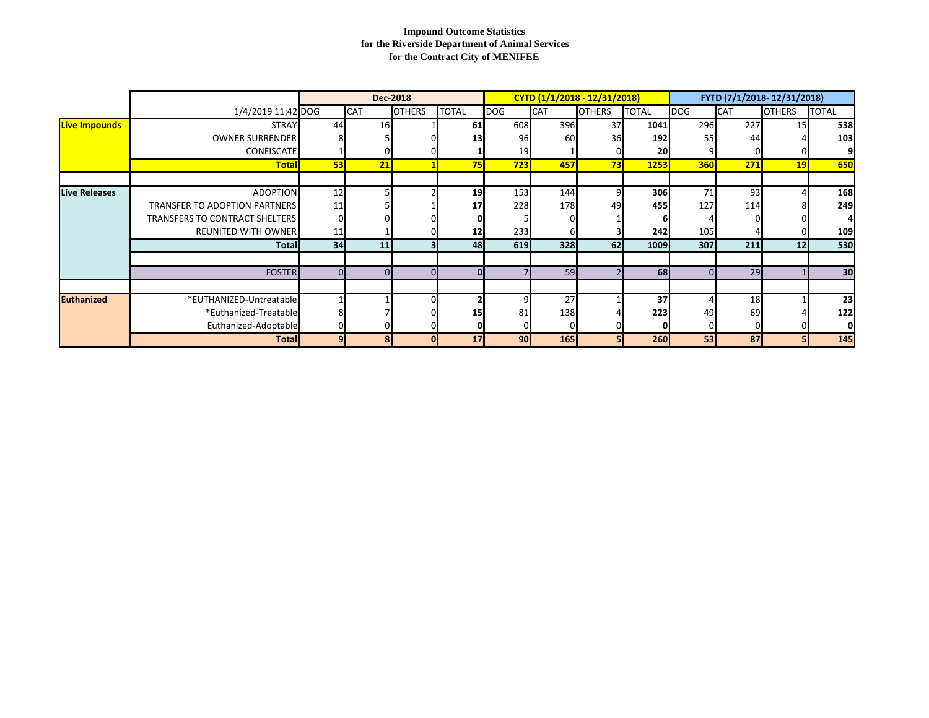#### **Impound Outcome Statistics for the Riverside Department of Animal Services for the Contract City of MENIFEE**

|                      |                                       |              |            | <b>Dec-2018</b> |              |            |            | CYTD (1/1/2018 - 12/31/2018) |              |            |            | FYTD (7/1/2018-12/31/2018) |                 |
|----------------------|---------------------------------------|--------------|------------|-----------------|--------------|------------|------------|------------------------------|--------------|------------|------------|----------------------------|-----------------|
|                      | 1/4/2019 11:42 DOG                    |              | <b>CAT</b> | <b>OTHERS</b>   | <b>TOTAL</b> | <b>DOG</b> | <b>CAT</b> | <b>OTHERS</b>                | <b>TOTAL</b> | DOG        | <b>CAT</b> | <b>OTHERS</b>              | <b>TOTAL</b>    |
| <b>Live Impounds</b> | <b>STRAY</b>                          | 44           | 16         |                 | 61           | 608        | 396        | 37                           | 1041         | 296        | 227        | 15                         | 538             |
|                      | <b>OWNER SURRENDER</b>                |              |            |                 | 13           | 96         | 60         | 36                           | 192          | 55         | 44         |                            | 103             |
|                      | CONFISCATE                            |              |            |                 |              | 19         |            |                              | 20           |            |            |                            | 91              |
|                      | <b>Total</b>                          | 53           | 21         |                 | 75           | 723        | 457        | 73                           | 1253         | <b>360</b> | 271        | 19                         | 650             |
| <b>Live Releases</b> | <b>ADOPTION</b>                       | 12           |            |                 | 19           | 153        | 144        | 9                            | 306          | 71         | 93         |                            | 168             |
|                      | <b>TRANSFER TO ADOPTION PARTNERS</b>  | 11           |            |                 | 17           | 228        | 178        | 49                           | 455          | 127        | 114        |                            | 249             |
|                      | <b>TRANSFERS TO CONTRACT SHELTERS</b> |              |            |                 |              |            |            |                              |              |            |            |                            | 41              |
|                      | <b>REUNITED WITH OWNER</b>            | 11           |            |                 | 12           | 233        | 6          |                              | 242          | 105        |            |                            | 109             |
|                      | <b>Total</b>                          | 34           | 11         |                 | 48           | 619        | <b>328</b> | 62                           | 1009         | 307        | 211        | 12                         | 530             |
|                      |                                       |              |            |                 |              |            |            |                              |              |            |            |                            |                 |
|                      | <b>FOSTER</b>                         |              |            |                 |              |            | 59         |                              | 68           |            | 29         |                            | 30 <sup>l</sup> |
|                      |                                       |              |            |                 |              |            |            |                              |              |            |            |                            |                 |
| <b>Euthanized</b>    | *EUTHANIZED-Untreatable               |              |            |                 |              |            | 27         |                              | 37           |            | 18         |                            | 23              |
|                      | *Euthanized-Treatable                 |              |            |                 |              |            | 138        |                              | 223          | 49         | 69         |                            | 122             |
|                      | Euthanized-Adoptable                  |              |            |                 |              |            | $\Omega$   |                              |              |            |            |                            | οl              |
|                      | <b>Total</b>                          | $\mathbf{9}$ |            |                 | 17           | 90         | <b>165</b> |                              | 260          | 53         | 87         |                            | 145             |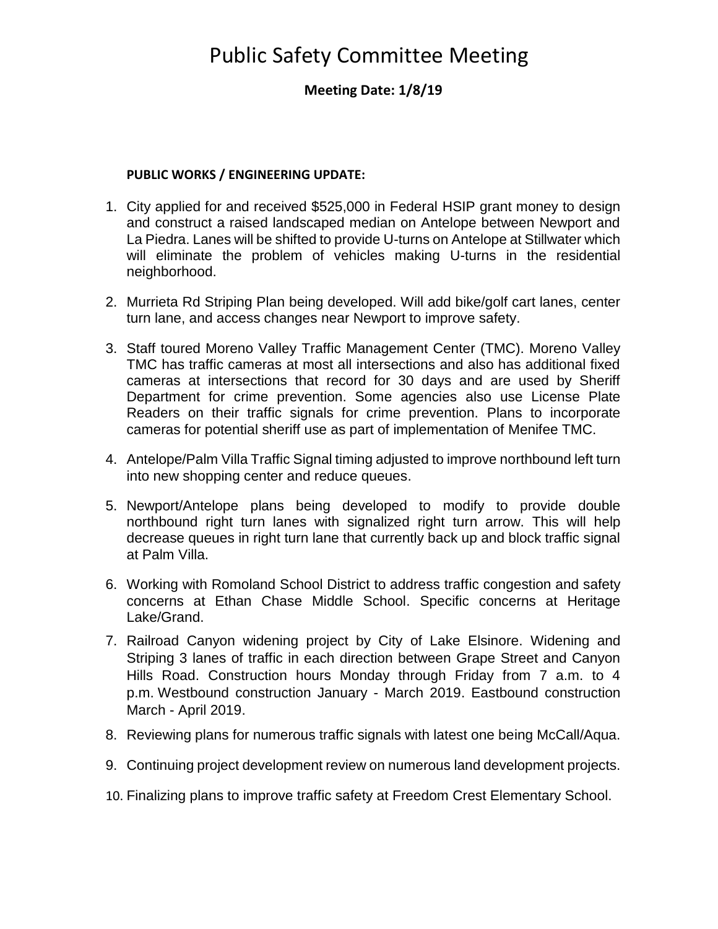# Public Safety Committee Meeting

## **Meeting Date: 1/8/19**

#### **PUBLIC WORKS / ENGINEERING UPDATE:**

- 1. City applied for and received \$525,000 in Federal HSIP grant money to design and construct a raised landscaped median on Antelope between Newport and La Piedra. Lanes will be shifted to provide U-turns on Antelope at Stillwater which will eliminate the problem of vehicles making U-turns in the residential neighborhood.
- 2. Murrieta Rd Striping Plan being developed. Will add bike/golf cart lanes, center turn lane, and access changes near Newport to improve safety.
- 3. Staff toured Moreno Valley Traffic Management Center (TMC). Moreno Valley TMC has traffic cameras at most all intersections and also has additional fixed cameras at intersections that record for 30 days and are used by Sheriff Department for crime prevention. Some agencies also use License Plate Readers on their traffic signals for crime prevention. Plans to incorporate cameras for potential sheriff use as part of implementation of Menifee TMC.
- 4. Antelope/Palm Villa Traffic Signal timing adjusted to improve northbound left turn into new shopping center and reduce queues.
- 5. Newport/Antelope plans being developed to modify to provide double northbound right turn lanes with signalized right turn arrow. This will help decrease queues in right turn lane that currently back up and block traffic signal at Palm Villa.
- 6. Working with Romoland School District to address traffic congestion and safety concerns at Ethan Chase Middle School. Specific concerns at Heritage Lake/Grand.
- 7. Railroad Canyon widening project by City of Lake Elsinore. Widening and Striping 3 lanes of traffic in each direction between Grape Street and Canyon Hills Road. Construction hours Monday through Friday from 7 a.m. to 4 p.m. Westbound construction January - March 2019. Eastbound construction March - April 2019.
- 8. Reviewing plans for numerous traffic signals with latest one being McCall/Aqua.
- 9. Continuing project development review on numerous land development projects.
- 10. Finalizing plans to improve traffic safety at Freedom Crest Elementary School.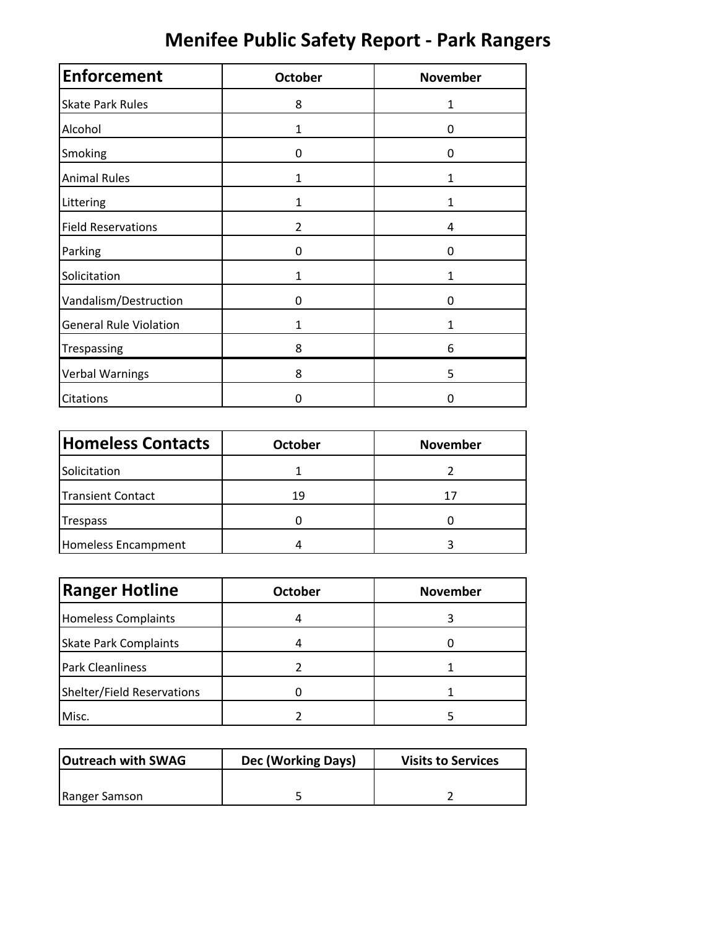# **Menifee Public Safety Report ‐ Park Rangers**

| <b>Enforcement</b>            | <b>October</b> | <b>November</b> |
|-------------------------------|----------------|-----------------|
| <b>Skate Park Rules</b>       | 8              | $\mathbf{1}$    |
| Alcohol                       | 1              | 0               |
| Smoking                       | 0              | 0               |
| <b>Animal Rules</b>           | 1              | 1               |
| Littering                     | 1              | 1               |
| <b>Field Reservations</b>     | $\overline{2}$ | 4               |
| Parking                       | 0              | 0               |
| Solicitation                  | 1              | 1               |
| Vandalism/Destruction         | 0              | 0               |
| <b>General Rule Violation</b> | 1              | 1               |
| Trespassing                   | 8              | 6               |
| <b>Verbal Warnings</b>        | 8              | 5               |
| Citations                     | 0              | 0               |

| <b>Homeless Contacts</b> | <b>October</b> | <b>November</b> |
|--------------------------|----------------|-----------------|
| Solicitation             |                |                 |
| <b>Transient Contact</b> | 19             | 17              |
| Trespass                 |                |                 |
| Homeless Encampment      |                |                 |

| <b>Ranger Hotline</b>        | <b>October</b> | <b>November</b> |
|------------------------------|----------------|-----------------|
| <b>Homeless Complaints</b>   |                |                 |
| <b>Skate Park Complaints</b> |                |                 |
| <b>Park Cleanliness</b>      |                |                 |
| Shelter/Field Reservations   |                |                 |
| Misc.                        |                |                 |

| <b>Outreach with SWAG</b> | Dec (Working Days) | <b>Visits to Services</b> |
|---------------------------|--------------------|---------------------------|
|                           |                    |                           |
| Ranger Samson             |                    |                           |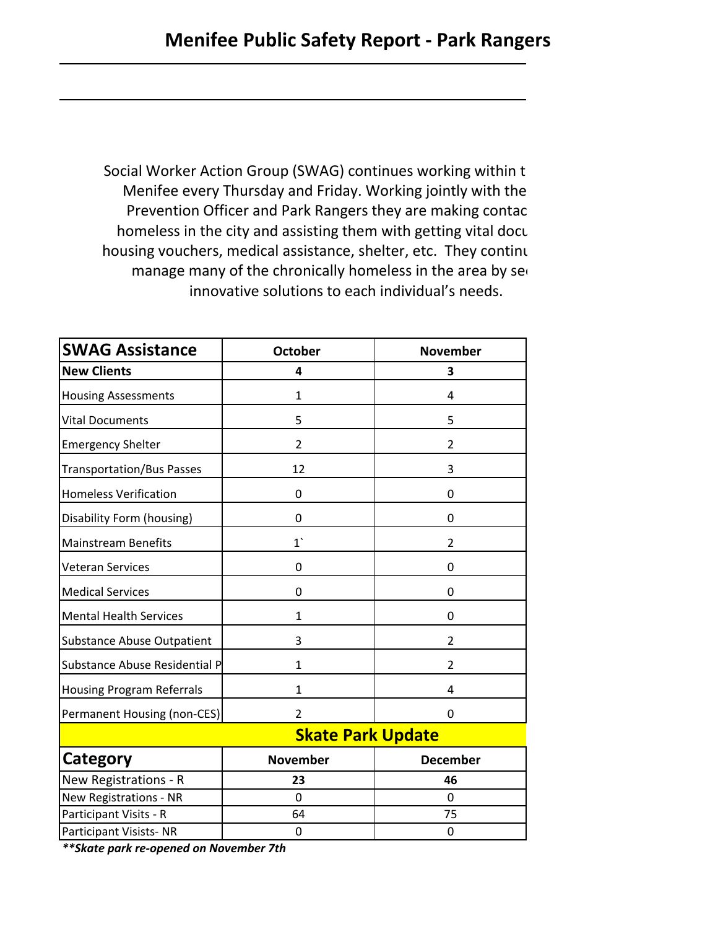Social Worker Action Group (SWAG) continues working within t Menifee every Thursday and Friday. Working jointly with the Prevention Officer and Park Rangers they are making contac homeless in the city and assisting them with getting vital docu housing vouchers, medical assistance, shelter, etc. They continu manage many of the chronically homeless in the area by see innovative solutions to each individual's needs.

| <b>SWAG Assistance</b>            | <b>October</b>           | <b>November</b> |  |  |  |
|-----------------------------------|--------------------------|-----------------|--|--|--|
| <b>New Clients</b>                | 4                        | 3               |  |  |  |
| <b>Housing Assessments</b>        | 1                        | 4               |  |  |  |
| <b>Vital Documents</b>            | 5                        | 5               |  |  |  |
| <b>Emergency Shelter</b>          | $\overline{2}$           | $\overline{2}$  |  |  |  |
| <b>Transportation/Bus Passes</b>  | 12                       | 3               |  |  |  |
| <b>Homeless Verification</b>      | 0                        | 0               |  |  |  |
| Disability Form (housing)         | 0                        | 0               |  |  |  |
| <b>Mainstream Benefits</b>        | 1                        | $\overline{2}$  |  |  |  |
| <b>Veteran Services</b>           | 0                        | 0               |  |  |  |
| <b>Medical Services</b>           | 0                        | 0               |  |  |  |
| <b>Mental Health Services</b>     | 1                        | 0               |  |  |  |
| <b>Substance Abuse Outpatient</b> | 3                        | $\overline{2}$  |  |  |  |
| Substance Abuse Residential P     | 1                        | $\overline{2}$  |  |  |  |
| <b>Housing Program Referrals</b>  | 1                        | 4               |  |  |  |
| Permanent Housing (non-CES)       | $\overline{2}$           | 0               |  |  |  |
|                                   | <b>Skate Park Update</b> |                 |  |  |  |
| Category                          | <b>November</b>          | <b>December</b> |  |  |  |
| New Registrations - R             | 23                       | 46              |  |  |  |
| New Registrations - NR            | 0                        | 0               |  |  |  |
| Participant Visits - R            | 64                       | 75              |  |  |  |
| Participant Visists-NR            | 0                        | 0               |  |  |  |

*\*\*Skate park re‐opened on November 7th*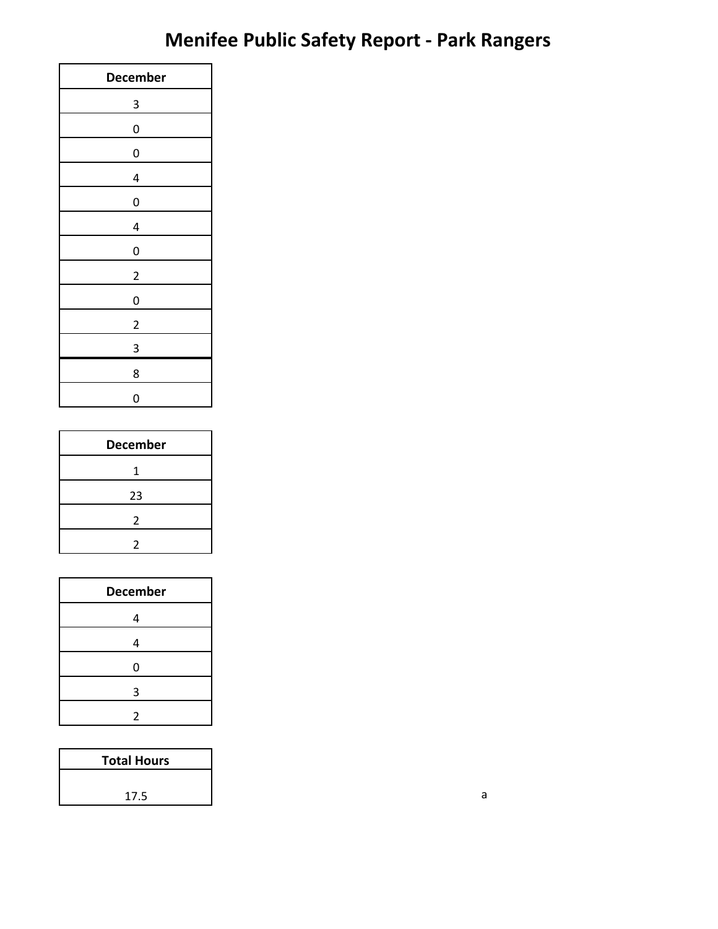# **Menifee Public Safety Report ‐ Park Rangers**

| <b>December</b>         |
|-------------------------|
| 3                       |
| $\mathbf{0}$            |
| $\mathbf{0}$            |
| 4                       |
| 0                       |
| 4                       |
| 0                       |
| $\overline{\mathbf{c}}$ |
| $\mathbf{0}$            |
| $\overline{\mathbf{c}}$ |
| 3                       |
| 8                       |
| 0                       |

| <b>December</b> |  |
|-----------------|--|
| 1               |  |
| 23              |  |
| 2               |  |
|                 |  |

| <b>December</b> |
|-----------------|
| 4               |
| 4               |
| 0               |
| 3               |
| 2               |

| <b>Total Hours</b> |
|--------------------|
|                    |
| 17.5               |